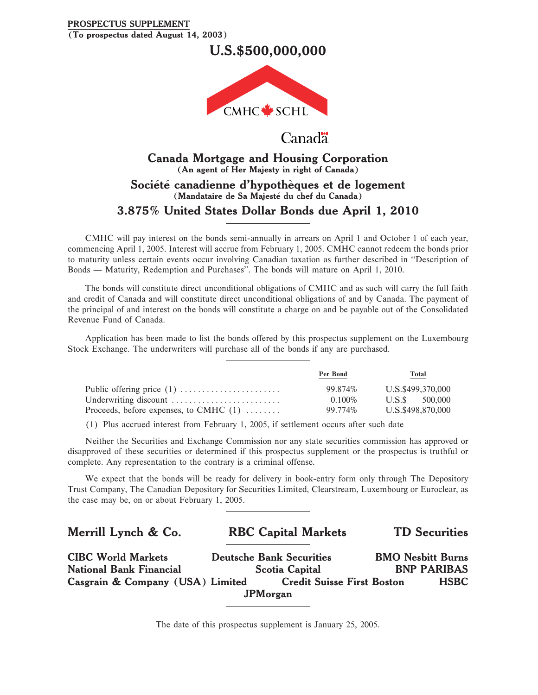## **PROSPECTUS SUPPLEMENT (To prospectus dated August 14, 2003)**

**U.S.\$500,000,000**



## **Canada**

## **Canada Mortgage and Housing Corporation (An agent of Her Majesty in right of Canada)** Société canadienne d'hypothèques et de logement **(Mandataire de Sa Majeste du chef du Canada)** π **3.875% United States Dollar Bonds due April 1, 2010**

CMHC will pay interest on the bonds semi-annually in arrears on April 1 and October 1 of each year, commencing April 1, 2005. Interest will accrue from February 1, 2005. CMHC cannot redeem the bonds prior to maturity unless certain events occur involving Canadian taxation as further described in ""Description of Bonds — Maturity, Redemption and Purchases". The bonds will mature on April 1, 2010.

The bonds will constitute direct unconditional obligations of CMHC and as such will carry the full faith and credit of Canada and will constitute direct unconditional obligations of and by Canada. The payment of the principal of and interest on the bonds will constitute a charge on and be payable out of the Consolidated Revenue Fund of Canada.

Application has been made to list the bonds offered by this prospectus supplement on the Luxembourg Stock Exchange. The underwriters will purchase all of the bonds if any are purchased.

|                                          | Per Bond  | Total             |
|------------------------------------------|-----------|-------------------|
| Public offering price $(1)$              | 99.874%   | U.S.\$499,370,000 |
| Underwriting discount                    | $0.100\%$ | U.S.S<br>500,000  |
| Proceeds, before expenses, to CMHC $(1)$ | 99.774%   | U.S.\$498,870,000 |

(1) Plus accrued interest from February 1, 2005, if settlement occurs after such date

Neither the Securities and Exchange Commission nor any state securities commission has approved or disapproved of these securities or determined if this prospectus supplement or the prospectus is truthful or complete. Any representation to the contrary is a criminal offense.

We expect that the bonds will be ready for delivery in book-entry form only through The Depository Trust Company, The Canadian Depository for Securities Limited, Clearstream, Luxembourg or Euroclear, as the case may be, on or about February 1, 2005.

| Merrill Lynch & Co.              | <b>RBC Capital Markets</b>        | <b>TD</b> Securities     |
|----------------------------------|-----------------------------------|--------------------------|
| <b>CIBC World Markets</b>        | <b>Deutsche Bank Securities</b>   | <b>BMO Nesbitt Burns</b> |
| <b>National Bank Financial</b>   | <b>Scotia Capital</b>             | <b>BNP PARIBAS</b>       |
| Casgrain & Company (USA) Limited | <b>Credit Suisse First Boston</b> | <b>HSBC</b>              |
|                                  | <b>JPM</b> organ                  |                          |

The date of this prospectus supplement is January 25, 2005.